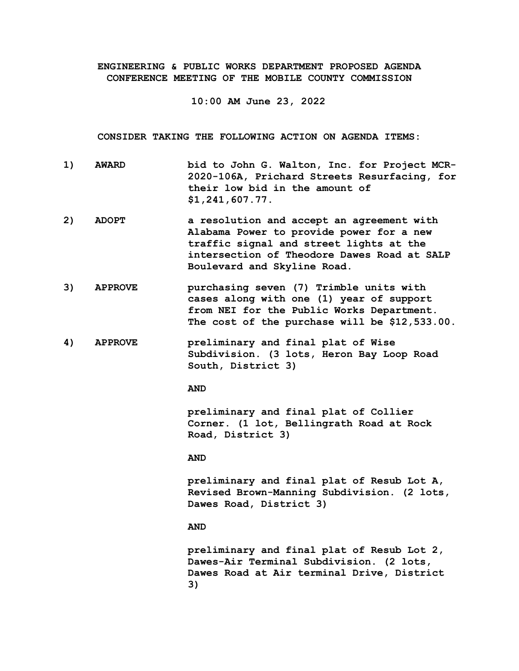**ENGINEERING & PUBLIC WORKS DEPARTMENT PROPOSED AGENDA CONFERENCE MEETING OF THE MOBILE COUNTY COMMISSION**

**10:00 AM June 23, 2022**

**CONSIDER TAKING THE FOLLOWING ACTION ON AGENDA ITEMS:**

- **1) AWARD bid to John G. Walton, Inc. for Project MCR-2020-106A, Prichard Streets Resurfacing, for their low bid in the amount of \$1,241,607.77.**
- **2) ADOPT a resolution and accept an agreement with Alabama Power to provide power for a new traffic signal and street lights at the intersection of Theodore Dawes Road at SALP Boulevard and Skyline Road.**
- **3) APPROVE purchasing seven (7) Trimble units with cases along with one (1) year of support from NEI for the Public Works Department. The cost of the purchase will be \$12,533.00.**
- **4) APPROVE preliminary and final plat of Wise Subdivision. (3 lots, Heron Bay Loop Road South, District 3)**

**AND**

**preliminary and final plat of Collier Corner. (1 lot, Bellingrath Road at Rock Road, District 3)**

## **AND**

**preliminary and final plat of Resub Lot A, Revised Brown-Manning Subdivision. (2 lots, Dawes Road, District 3)**

## **AND**

**preliminary and final plat of Resub Lot 2, Dawes-Air Terminal Subdivision. (2 lots, Dawes Road at Air terminal Drive, District 3)**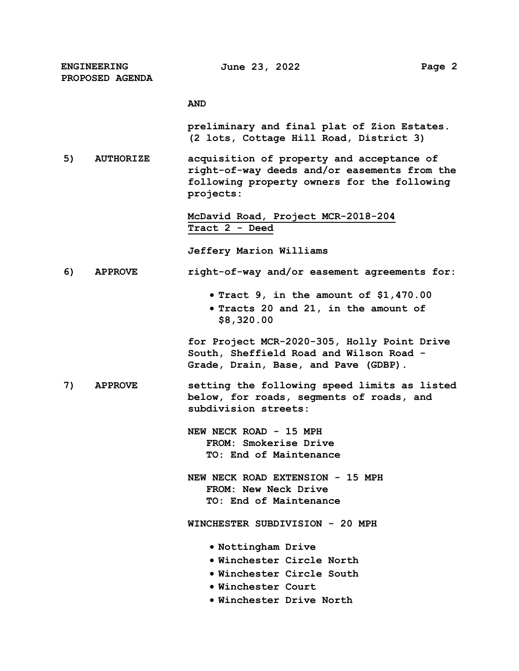**ENGINEERING PROPOSED AGENDA**

## **AND**

**preliminary and final plat of Zion Estates. (2 lots, Cottage Hill Road, District 3)**

**5) AUTHORIZE acquisition of property and acceptance of right-of-way deeds and/or easements from the following property owners for the following projects:**

> **McDavid Road, Project MCR-2018-204 Tract 2 - Deed**

**Jeffery Marion Williams**

## **6) APPROVE right-of-way and/or easement agreements for:**

- **Tract 9, in the amount of \$1,470.00**
- **Tracts 20 and 21, in the amount of \$8,320.00**

**for Project MCR-2020-305, Holly Point Drive South, Sheffield Road and Wilson Road - Grade, Drain, Base, and Pave (GDBP).**

- **7) APPROVE setting the following speed limits as listed below, for roads, segments of roads, and subdivision streets:**
	- **NEW NECK ROAD 15 MPH FROM: Smokerise Drive TO: End of Maintenance**

**NEW NECK ROAD EXTENSION - 15 MPH FROM: New Neck Drive TO: End of Maintenance**

**WINCHESTER SUBDIVISION - 20 MPH**

- **Nottingham Drive**
- **Winchester Circle North**
- **Winchester Circle South**
- **Winchester Court**
- **Winchester Drive North**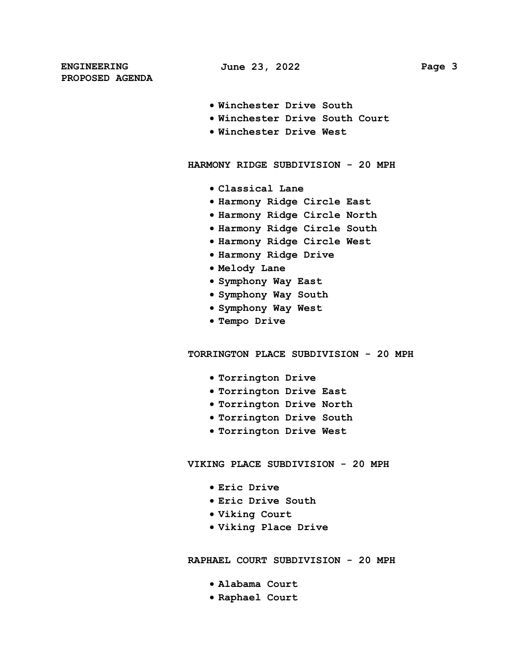**ENGINEERING PROPOSED AGENDA**

- **Winchester Drive South**
- **Winchester Drive South Court**
- **Winchester Drive West**

**HARMONY RIDGE SUBDIVISION - 20 MPH**

- **Classical Lane**
- **Harmony Ridge Circle East**
- **Harmony Ridge Circle North**
- **Harmony Ridge Circle South**
- **Harmony Ridge Circle West**
- **Harmony Ridge Drive**
- **Melody Lane**
- **Symphony Way East**
- **Symphony Way South**
- **Symphony Way West**
- **Tempo Drive**

**TORRINGTON PLACE SUBDIVISION - 20 MPH**

- **Torrington Drive**
- **Torrington Drive East**
- **Torrington Drive North**
- **Torrington Drive South**
- **Torrington Drive West**

**VIKING PLACE SUBDIVISION - 20 MPH**

- **Eric Drive**
- **Eric Drive South**
- **Viking Court**
- **Viking Place Drive**

**RAPHAEL COURT SUBDIVISION - 20 MPH**

- **Alabama Court**
- **Raphael Court**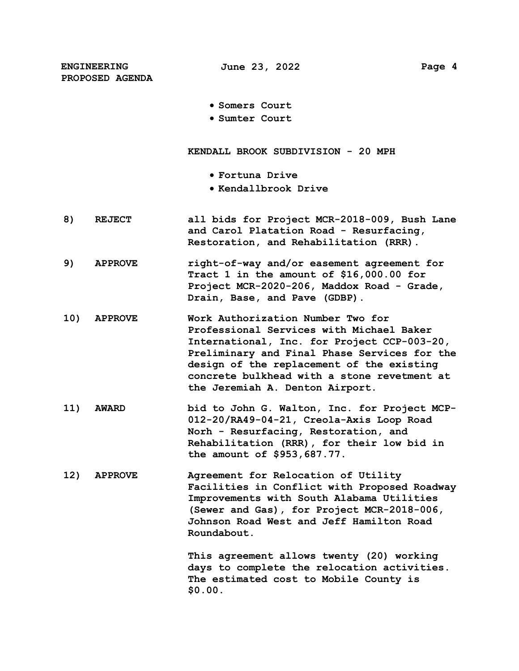**ENGINEERING PROPOSED AGENDA**

**Somers Court**

**Sumter Court**

**KENDALL BROOK SUBDIVISION - 20 MPH**

- **Fortuna Drive**
- **Kendallbrook Drive**
- **8) REJECT all bids for Project MCR-2018-009, Bush Lane and Carol Platation Road - Resurfacing, Restoration, and Rehabilitation (RRR).**
- **9) APPROVE right-of-way and/or easement agreement for Tract 1 in the amount of \$16,000.00 for Project MCR-2020-206, Maddox Road - Grade, Drain, Base, and Pave (GDBP).**
- **10) APPROVE Work Authorization Number Two for Professional Services with Michael Baker International, Inc. for Project CCP-003-20, Preliminary and Final Phase Services for the design of the replacement of the existing concrete bulkhead with a stone revetment at the Jeremiah A. Denton Airport.**
- **11) AWARD bid to John G. Walton, Inc. for Project MCP-012-20/RA49-04-21, Creola-Axis Loop Road Norh - Resurfacing, Restoration, and Rehabilitation (RRR), for their low bid in the amount of \$953,687.77.**
- **12) APPROVE Agreement for Relocation of Utility Facilities in Conflict with Proposed Roadway Improvements with South Alabama Utilities (Sewer and Gas), for Project MCR-2018-006, Johnson Road West and Jeff Hamilton Road Roundabout.**

**This agreement allows twenty (20) working days to complete the relocation activities. The estimated cost to Mobile County is \$0.00.**